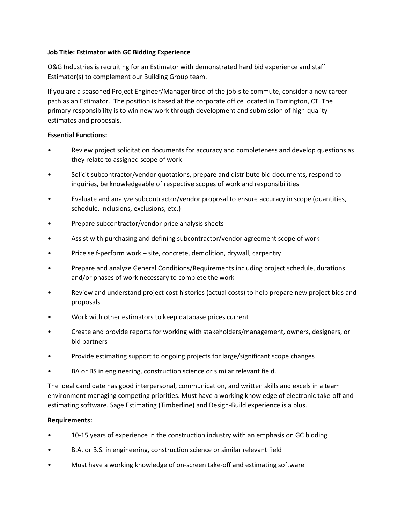## **Job Title: Estimator with GC Bidding Experience**

O&G Industries is recruiting for an Estimator with demonstrated hard bid experience and staff Estimator(s) to complement our Building Group team.

If you are a seasoned Project Engineer/Manager tired of the job-site commute, consider a new career path as an Estimator. The position is based at the corporate office located in Torrington, CT. The primary responsibility is to win new work through development and submission of high-quality estimates and proposals.

## **Essential Functions:**

- Review project solicitation documents for accuracy and completeness and develop questions as they relate to assigned scope of work
- Solicit subcontractor/vendor quotations, prepare and distribute bid documents, respond to inquiries, be knowledgeable of respective scopes of work and responsibilities
- Evaluate and analyze subcontractor/vendor proposal to ensure accuracy in scope (quantities, schedule, inclusions, exclusions, etc.)
- Prepare subcontractor/vendor price analysis sheets
- Assist with purchasing and defining subcontractor/vendor agreement scope of work
- Price self-perform work site, concrete, demolition, drywall, carpentry
- Prepare and analyze General Conditions/Requirements including project schedule, durations and/or phases of work necessary to complete the work
- Review and understand project cost histories (actual costs) to help prepare new project bids and proposals
- Work with other estimators to keep database prices current
- Create and provide reports for working with stakeholders/management, owners, designers, or bid partners
- Provide estimating support to ongoing projects for large/significant scope changes
- BA or BS in engineering, construction science or similar relevant field.

The ideal candidate has good interpersonal, communication, and written skills and excels in a team environment managing competing priorities. Must have a working knowledge of electronic take-off and estimating software. Sage Estimating (Timberline) and Design-Build experience is a plus.

## **Requirements:**

- 10-15 years of experience in the construction industry with an emphasis on GC bidding
- B.A. or B.S. in engineering, construction science or similar relevant field
- Must have a working knowledge of on-screen take-off and estimating software